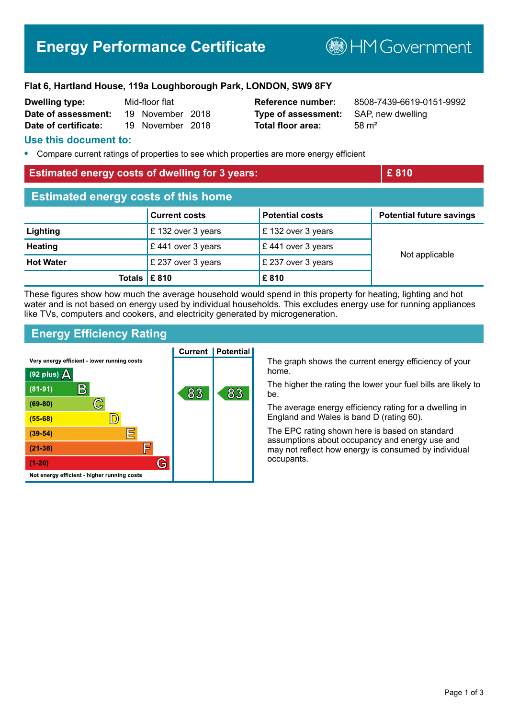# **Energy Performance Certificate**

**BHM Government** 

## **Flat 6, Hartland House, 119a Loughborough Park, LONDON, SW9 8FY**

| <b>Dwelling type:</b> | Mid-floor flat |                  |  |
|-----------------------|----------------|------------------|--|
| Date of assessment:   |                | 19 November 2018 |  |
| Date of certificate:  |                | 19 November 2018 |  |

**Type of assessment:** SAP, new dwelling **Total floor area:** 58 m<sup>2</sup>

**Reference number:** 8508-7439-6619-0151-9992

## **Use this document to:**

**•** Compare current ratings of properties to see which properties are more energy efficient

## **Estimated energy costs of dwelling for 3 years: EXEC 10 AM 2010** E 810

| <b>Estimated energy costs of this home</b> |                      |                        |                                 |  |
|--------------------------------------------|----------------------|------------------------|---------------------------------|--|
|                                            | <b>Current costs</b> | <b>Potential costs</b> | <b>Potential future savings</b> |  |
| Lighting                                   | £132 over 3 years    | £132 over 3 years      |                                 |  |
| <b>Heating</b>                             | £441 over 3 years    | £441 over 3 years      | Not applicable                  |  |
| <b>Hot Water</b>                           | £ 237 over 3 years   | £ 237 over 3 years     |                                 |  |
| Totals $\mathsf{E}$ 810                    |                      | £810                   |                                 |  |

These figures show how much the average household would spend in this property for heating, lighting and hot water and is not based on energy used by individual households. This excludes energy use for running appliances like TVs, computers and cookers, and electricity generated by microgeneration.

## **Energy Efficiency Rating**



The graph shows the current energy efficiency of your home.

The higher the rating the lower your fuel bills are likely to be.

The average energy efficiency rating for a dwelling in England and Wales is band D (rating 60).

The EPC rating shown here is based on standard assumptions about occupancy and energy use and may not reflect how energy is consumed by individual occupants.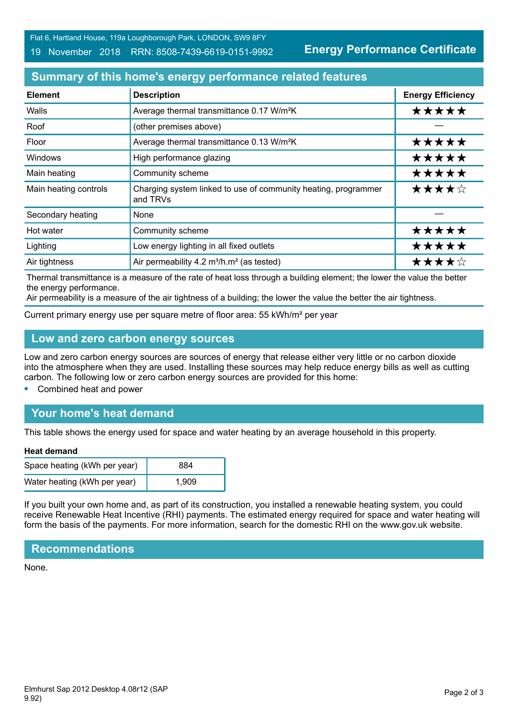Flat 6, Hartland House, 119a Loughborough Park, LONDON, SW9 8FY

### 19 November 2018 RRN: 8508-7439-6619-0151-9992

**Energy Performance Certificate**

# **Summary of this home's energy performance related features**

| <b>Element</b>        | <b>Description</b>                                                         | <b>Energy Efficiency</b> |
|-----------------------|----------------------------------------------------------------------------|--------------------------|
| Walls                 | Average thermal transmittance 0.17 W/m <sup>2</sup> K                      | *****                    |
| Roof                  | (other premises above)                                                     |                          |
| Floor                 | Average thermal transmittance 0.13 W/m <sup>2</sup> K                      | *****                    |
| <b>Windows</b>        | High performance glazing                                                   | *****                    |
| Main heating          | Community scheme                                                           | *****                    |
| Main heating controls | Charging system linked to use of community heating, programmer<br>and TRVs | ★★★★☆                    |
| Secondary heating     | None                                                                       |                          |
| Hot water             | Community scheme                                                           | *****                    |
| Lighting              | Low energy lighting in all fixed outlets                                   | *****                    |
| Air tightness         | Air permeability 4.2 m <sup>3</sup> /h.m <sup>2</sup> (as tested)          | ★★★★☆                    |

Thermal transmittance is a measure of the rate of heat loss through a building element; the lower the value the better the energy performance.

Air permeability is a measure of the air tightness of a building; the lower the value the better the air tightness.

Current primary energy use per square metre of floor area: 55 kWh/m² per year

## **Low and zero carbon energy sources**

Low and zero carbon energy sources are sources of energy that release either very little or no carbon dioxide into the atmosphere when they are used. Installing these sources may help reduce energy bills as well as cutting carbon. The following low or zero carbon energy sources are provided for this home:

**•** Combined heat and power

# **Your home's heat demand**

This table shows the energy used for space and water heating by an average household in this property.

#### **Heat demand**

| Space heating (kWh per year) | 884   |
|------------------------------|-------|
| Water heating (kWh per year) | 1.909 |

If you built your own home and, as part of its construction, you installed a renewable heating system, you could receive Renewable Heat Incentive (RHI) payments. The estimated energy required for space and water heating will form the basis of the payments. For more information, search for the domestic RHI on the www.gov.uk website.

## **Recommendations**

None.